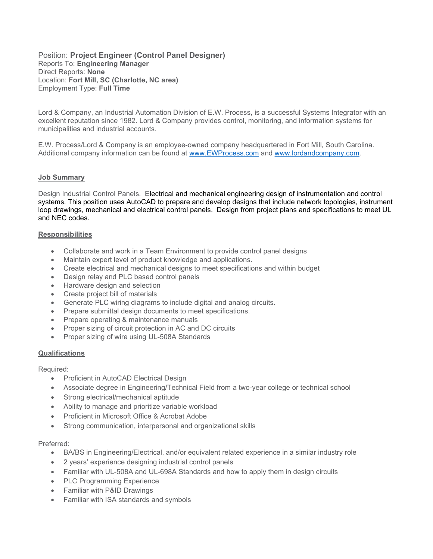Position: Project Engineer (Control Panel Designer) Reports To: Engineering Manager Direct Reports: None Location: Fort Mill, SC (Charlotte, NC area) Employment Type: Full Time

Lord & Company, an Industrial Automation Division of E.W. Process, is a successful Systems Integrator with an excellent reputation since 1982. Lord & Company provides control, monitoring, and information systems for municipalities and industrial accounts.

E.W. Process/Lord & Company is an employee-owned company headquartered in Fort Mill, South Carolina. Additional company information can be found at www.EWProcess.com and www.lordandcompany.com.

### Job Summary

Design Industrial Control Panels. Electrical and mechanical engineering design of instrumentation and control systems. This position uses AutoCAD to prepare and develop designs that include network topologies, instrument loop drawings, mechanical and electrical control panels. Design from project plans and specifications to meet UL and NEC codes.

#### **Responsibilities**

- Collaborate and work in a Team Environment to provide control panel designs
- Maintain expert level of product knowledge and applications.
- Create electrical and mechanical designs to meet specifications and within budget
- Design relay and PLC based control panels
- Hardware design and selection
- Create project bill of materials
- Generate PLC wiring diagrams to include digital and analog circuits.
- Prepare submittal design documents to meet specifications.
- Prepare operating & maintenance manuals
- Proper sizing of circuit protection in AC and DC circuits
- Proper sizing of wire using UL-508A Standards

### **Qualifications**

## Required:

- Proficient in AutoCAD Electrical Design
- Associate degree in Engineering/Technical Field from a two-year college or technical school
- Strong electrical/mechanical aptitude
- Ability to manage and prioritize variable workload
- Proficient in Microsoft Office & Acrobat Adobe
- Strong communication, interpersonal and organizational skills

### Preferred:

- BA/BS in Engineering/Electrical, and/or equivalent related experience in a similar industry role
- 2 years' experience designing industrial control panels
- Familiar with UL-508A and UL-698A Standards and how to apply them in design circuits
- PLC Programming Experience
- Familiar with P&ID Drawings
- Familiar with ISA standards and symbols